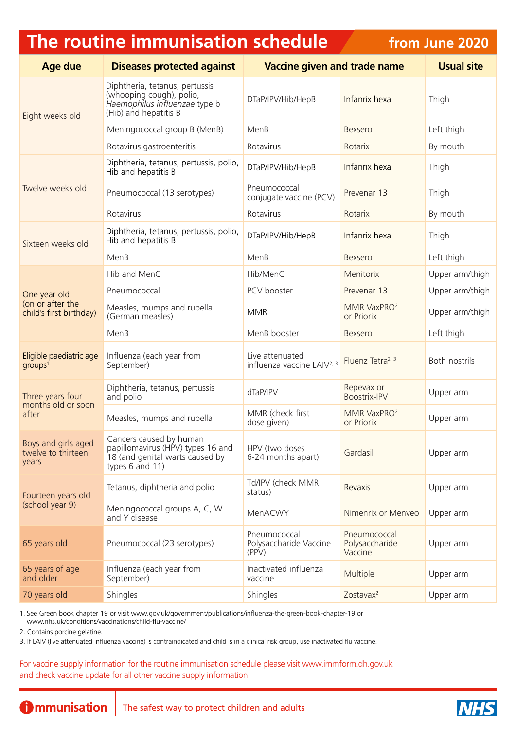## **The routine immunisation schedule**

**from June 2020**

| <b>Age due</b>                                              | <b>Diseases protected against</b>                                                                                                   | <b>Vaccine given and trade name</b>                       |                                           | <b>Usual site</b> |
|-------------------------------------------------------------|-------------------------------------------------------------------------------------------------------------------------------------|-----------------------------------------------------------|-------------------------------------------|-------------------|
| Eight weeks old                                             | Diphtheria, tetanus, pertussis<br>(whooping cough), polio,<br>Haemophilus influenzae type b<br>(Hib) and hepatitis B                | DTaP/IPV/Hib/HepB                                         | Infanrix hexa                             | Thigh             |
|                                                             | Meningococcal group B (MenB)                                                                                                        | MenB                                                      | Bexsero                                   | Left thigh        |
|                                                             | Rotavirus gastroenteritis                                                                                                           | Rotavirus                                                 | Rotarix                                   | By mouth          |
| Twelve weeks old                                            | Diphtheria, tetanus, pertussis, polio,<br>Hib and hepatitis B                                                                       | DTaP/IPV/Hib/HepB                                         | Infanrix hexa                             | Thigh             |
|                                                             | Pneumococcal (13 serotypes)                                                                                                         | Pneumococcal<br>conjugate vaccine (PCV)                   | Prevenar 13                               | Thigh             |
|                                                             | Rotavirus                                                                                                                           | Rotavirus                                                 | Rotarix                                   | By mouth          |
| Sixteen weeks old                                           | Diphtheria, tetanus, pertussis, polio,<br>Hib and hepatitis B                                                                       | DTaP/IPV/Hib/HepB                                         | Infanrix hexa                             | Thigh             |
|                                                             | MenB                                                                                                                                | MenB                                                      | Bexsero                                   | Left thigh        |
| One year old<br>(on or after the<br>child's first birthday) | Hib and MenC                                                                                                                        | Hib/MenC                                                  | Menitorix                                 | Upper arm/thigh   |
|                                                             | Pneumococcal                                                                                                                        | PCV booster                                               | Prevenar 13                               | Upper arm/thigh   |
|                                                             | Measles, mumps and rubella<br>(German measles)                                                                                      | <b>MMR</b>                                                | MMR VaxPRO <sup>2</sup><br>or Priorix     | Upper arm/thigh   |
|                                                             | MenB                                                                                                                                | MenB booster                                              | <b>Bexsero</b>                            | Left thigh        |
| Eligible paediatric age<br>qroups <sup>1</sup>              | Influenza (each year from<br>September)                                                                                             | Live attenuated<br>influenza vaccine LAIV <sup>2, 3</sup> | Fluenz Tetra <sup>2, 3</sup>              | Both nostrils     |
| Three years four<br>months old or soon<br>after             | Diphtheria, tetanus, pertussis<br>and polio                                                                                         | dTaP/IPV                                                  | Repevax or<br><b>Boostrix-IPV</b>         | Upper arm         |
|                                                             | Measles, mumps and rubella                                                                                                          | MMR (check first<br>dose given)                           | MMR VaxPRO <sup>2</sup><br>or Priorix     | Upper arm         |
| Boys and girls aged<br>twelve to thirteen<br>years          | Cancers caused by human<br>papillomavirus (HPV) types 16 and   HPV (two doses<br>18 (and genital warts caused by<br>types 6 and 11) | 6-24 months apart)                                        | Gardasil                                  | Upper arm         |
| Fourteen years old<br>(school year 9)                       | Tetanus, diphtheria and polio                                                                                                       | Td/IPV (check MMR<br>status)                              | Revaxis                                   | Upper arm         |
|                                                             | Meningococcal groups A, C, W<br>and Y disease                                                                                       | MenACWY                                                   | Nimenrix or Menveo                        | Upper arm         |
| 65 years old                                                | Pneumococcal (23 serotypes)                                                                                                         | Pneumococcal<br>Polysaccharide Vaccine<br>(PPV)           | Pneumococcal<br>Polysaccharide<br>Vaccine | Upper arm         |
| 65 years of age<br>and older                                | Influenza (each year from<br>September)                                                                                             | Inactivated influenza<br>vaccine                          | Multiple                                  | Upper arm         |
| 70 years old                                                | Shingles                                                                                                                            | Shingles                                                  | Zostavax <sup>2</sup>                     | Upper arm         |

1. See Green book chapter 19 or visit [www.gov.uk/government/publications/influenza-the-green-book-chapter-19](http://www.gov.uk/government/publications/influenza-the-green-book-chapter-19) or

[www.nhs.uk/conditions/vaccinations/child-flu-vaccine/](http://www.nhs.uk/conditions/vaccinations/child-flu-vaccine/)

2. Contains porcine gelatine.

3. If LAIV (live attenuated influenza vaccine) is contraindicated and child is in a clinical risk group, use inactivated flu vaccine.

For vaccine supply information for the routine immunisation schedule please visit [www.immform.dh.gov.uk](http://www.immform.dh.gov.uk) and check vaccine update for all other vaccine supply information.